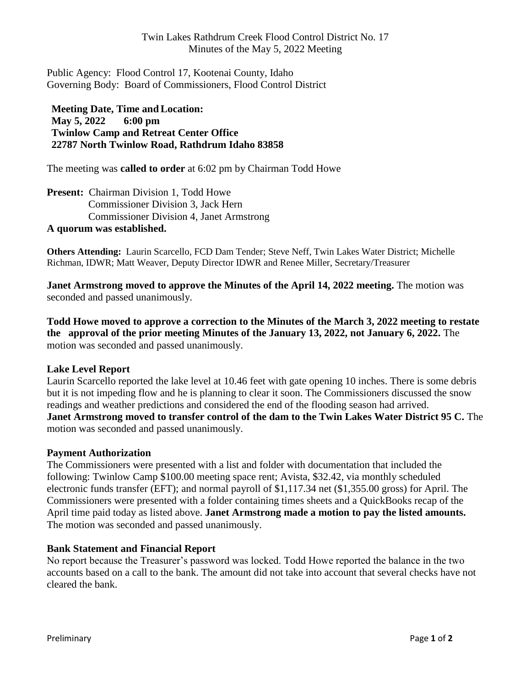## Twin Lakes Rathdrum Creek Flood Control District No. 17 Minutes of the May 5, 2022 Meeting

Public Agency: Flood Control 17, Kootenai County, Idaho Governing Body: Board of Commissioners, Flood Control District

**Meeting Date, Time andLocation: May 5, 2022 6:00 pm Twinlow Camp and Retreat Center Office 22787 North Twinlow Road, Rathdrum Idaho 83858**

The meeting was **called to order** at 6:02 pm by Chairman Todd Howe

**Present:** Chairman Division 1, Todd Howe Commissioner Division 3, Jack Hern Commissioner Division 4, Janet Armstrong **A quorum was established.**

**Others Attending:** Laurin Scarcello, FCD Dam Tender; Steve Neff, Twin Lakes Water District; Michelle Richman, IDWR; Matt Weaver, Deputy Director IDWR and Renee Miller, Secretary/Treasurer

**Janet Armstrong moved to approve the Minutes of the April 14, 2022 meeting.** The motion was seconded and passed unanimously.

**Todd Howe moved to approve a correction to the Minutes of the March 3, 2022 meeting to restate the approval of the prior meeting Minutes of the January 13, 2022, not January 6, 2022.** The motion was seconded and passed unanimously.

## **Lake Level Report**

Laurin Scarcello reported the lake level at 10.46 feet with gate opening 10 inches. There is some debris but it is not impeding flow and he is planning to clear it soon. The Commissioners discussed the snow readings and weather predictions and considered the end of the flooding season had arrived. **Janet Armstrong moved to transfer control of the dam to the Twin Lakes Water District 95 C.** The motion was seconded and passed unanimously.

#### **Payment Authorization**

The Commissioners were presented with a list and folder with documentation that included the following: Twinlow Camp \$100.00 meeting space rent; Avista, \$32.42, via monthly scheduled electronic funds transfer (EFT); and normal payroll of \$1,117.34 net (\$1,355.00 gross) for April. The Commissioners were presented with a folder containing times sheets and a QuickBooks recap of the April time paid today as listed above. **Janet Armstrong made a motion to pay the listed amounts.** The motion was seconded and passed unanimously.

#### **Bank Statement and Financial Report**

No report because the Treasurer's password was locked. Todd Howe reported the balance in the two accounts based on a call to the bank. The amount did not take into account that several checks have not cleared the bank.